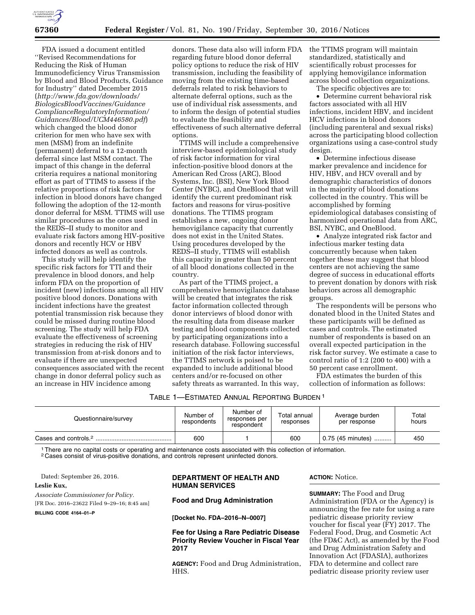

FDA issued a document entitled ''Revised Recommendations for Reducing the Risk of Human Immunodeficiency Virus Transmission by Blood and Blood Products, Guidance for Industry'' dated December 2015 (*[http://www.fda.gov/downloads/](http://www.fda.gov/downloads/BiologicsBloodVaccines/GuidanceComplianceRegulatoryInformation/Guidances/Blood/UCM446580.pdf)  [BiologicsBloodVaccines/Guidance](http://www.fda.gov/downloads/BiologicsBloodVaccines/GuidanceComplianceRegulatoryInformation/Guidances/Blood/UCM446580.pdf) [ComplianceRegulatoryInformation/](http://www.fda.gov/downloads/BiologicsBloodVaccines/GuidanceComplianceRegulatoryInformation/Guidances/Blood/UCM446580.pdf) [Guidances/Blood/UCM446580.pdf](http://www.fda.gov/downloads/BiologicsBloodVaccines/GuidanceComplianceRegulatoryInformation/Guidances/Blood/UCM446580.pdf)*) which changed the blood donor criterion for men who have sex with men (MSM) from an indefinite (permanent) deferral to a 12-month deferral since last MSM contact. The impact of this change in the deferral criteria requires a national monitoring effort as part of TTIMS to assess if the relative proportions of risk factors for infection in blood donors have changed following the adoption of the 12-month donor deferral for MSM. TTIMS will use similar procedures as the ones used in the REDS–II study to monitor and evaluate risk factors among HIV-positive donors and recently HCV or HBV infected donors as well as controls.

This study will help identify the specific risk factors for TTI and their prevalence in blood donors, and help inform FDA on the proportion of incident (new) infections among all HIV positive blood donors. Donations with incident infections have the greatest potential transmission risk because they could be missed during routine blood screening. The study will help FDA evaluate the effectiveness of screening strategies in reducing the risk of HIV transmission from at-risk donors and to evaluate if there are unexpected consequences associated with the recent change in donor deferral policy such as an increase in HIV incidence among

donors. These data also will inform FDA regarding future blood donor deferral policy options to reduce the risk of HIV transmission, including the feasibility of moving from the existing time-based deferrals related to risk behaviors to alternate deferral options, such as the use of individual risk assessments, and to inform the design of potential studies to evaluate the feasibility and effectiveness of such alternative deferral options.

TTIMS will include a comprehensive interview-based epidemiological study of risk factor information for viral infection-positive blood donors at the American Red Cross (ARC), Blood Systems, Inc. (BSI), New York Blood Center (NYBC), and OneBlood that will identify the current predominant risk factors and reasons for virus-positive donations. The TTIMS program establishes a new, ongoing donor hemovigilance capacity that currently does not exist in the United States. Using procedures developed by the REDS–II study, TTIMS will establish this capacity in greater than 50 percent of all blood donations collected in the country.

As part of the TTIMS project, a comprehensive hemovigilance database will be created that integrates the risk factor information collected through donor interviews of blood donor with the resulting data from disease marker testing and blood components collected by participating organizations into a research database. Following successful initiation of the risk factor interviews, the TTIMS network is poised to be expanded to include additional blood centers and/or re-focused on other safety threats as warranted. In this way,

the TTIMS program will maintain standardized, statistically and scientifically robust processes for applying hemovigilance information across blood collection organizations.

The specific objectives are to:

• Determine current behavioral risk factors associated with all HIV infections, incident HBV, and incident HCV infections in blood donors (including parenteral and sexual risks) across the participating blood collection organizations using a case-control study design.

• Determine infectious disease marker prevalence and incidence for HIV, HBV, and HCV overall and by demographic characteristics of donors in the majority of blood donations collected in the country. This will be accomplished by forming epidemiological databases consisting of harmonized operational data from ARC, BSI, NYBC, and OneBlood.

• Analyze integrated risk factor and infectious marker testing data concurrently because when taken together these may suggest that blood centers are not achieving the same degree of success in educational efforts to prevent donation by donors with risk behaviors across all demographic groups.

The respondents will be persons who donated blood in the United States and these participants will be defined as cases and controls. The estimated number of respondents is based on an overall expected participation in the risk factor survey. We estimate a case to control ratio of 1:2 (200 to 400) with a 50 percent case enrollment.

FDA estimates the burden of this collection of information as follows:

TABLE 1—ESTIMATED ANNUAL REPORTING BURDEN 1

| Questionnaire/survey             | Number of<br>respondents | Number of<br>responses per<br>respondent | Total annual<br>responses | Average burden<br>per response | Total<br>hours |
|----------------------------------|--------------------------|------------------------------------------|---------------------------|--------------------------------|----------------|
| Cases and controls. <sup>2</sup> | 600                      |                                          | 600                       | 0.75 (45 minutes)<br>.         | 450            |

1There are no capital costs or operating and maintenance costs associated with this collection of information.

2 Cases consist of virus-positive donations, and controls represent uninfected donors.

Dated: September 26, 2016.

# **Leslie Kux,**

*Associate Commissioner for Policy.* 

[FR Doc. 2016–23622 Filed 9–29–16; 8:45 am]

**BILLING CODE 4164–01–P** 

### **DEPARTMENT OF HEALTH AND HUMAN SERVICES**

### **Food and Drug Administration**

**[Docket No. FDA–2016–N–0007]** 

**Fee for Using a Rare Pediatric Disease Priority Review Voucher in Fiscal Year 2017** 

**AGENCY:** Food and Drug Administration, HHS.

**ACTION:** Notice.

**SUMMARY:** The Food and Drug Administration (FDA or the Agency) is announcing the fee rate for using a rare pediatric disease priority review voucher for fiscal year (FY) 2017. The Federal Food, Drug, and Cosmetic Act (the FD&C Act), as amended by the Food and Drug Administration Safety and Innovation Act (FDASIA), authorizes FDA to determine and collect rare pediatric disease priority review user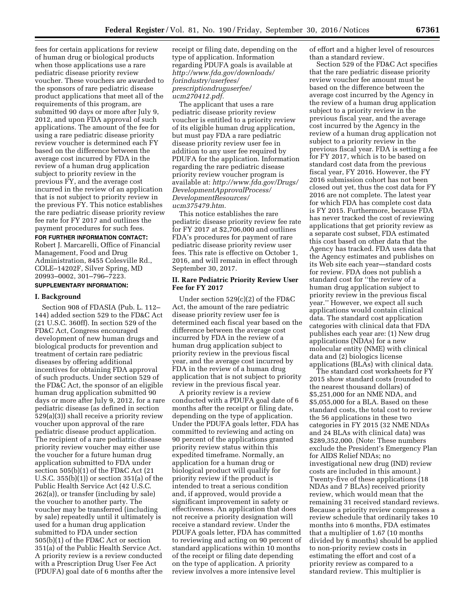fees for certain applications for review of human drug or biological products when those applications use a rare pediatric disease priority review voucher. These vouchers are awarded to the sponsors of rare pediatric disease product applications that meet all of the requirements of this program, are submitted 90 days or more after July 9, 2012, and upon FDA approval of such applications. The amount of the fee for using a rare pediatric disease priority review voucher is determined each FY based on the difference between the average cost incurred by FDA in the review of a human drug application subject to priority review in the previous FY, and the average cost incurred in the review of an application that is not subject to priority review in the previous FY. This notice establishes the rare pediatric disease priority review fee rate for FY 2017 and outlines the payment procedures for such fees.

#### **FOR FURTHER INFORMATION CONTACT:**

Robert J. Marcarelli, Office of Financial Management, Food and Drug Administration, 8455 Colesville Rd., COLE–14202F, Silver Spring, MD 20993–0002, 301–796–7223.

# **SUPPLEMENTARY INFORMATION:**

#### **I. Background**

Section 908 of FDASIA (Pub. L. 112– 144) added section 529 to the FD&C Act (21 U.S.C. 360ff). In section 529 of the FD&C Act, Congress encouraged development of new human drugs and biological products for prevention and treatment of certain rare pediatric diseases by offering additional incentives for obtaining FDA approval of such products. Under section 529 of the FD&C Act, the sponsor of an eligible human drug application submitted 90 days or more after July 9, 2012, for a rare pediatric disease (as defined in section 529(a)(3)) shall receive a priority review voucher upon approval of the rare pediatric disease product application. The recipient of a rare pediatric disease priority review voucher may either use the voucher for a future human drug application submitted to FDA under section 505(b)(1) of the FD&C Act (21 U.S.C. 355(b)(1)) or section 351(a) of the Public Health Service Act (42 U.S.C. 262(a)), or transfer (including by sale) the voucher to another party. The voucher may be transferred (including by sale) repeatedly until it ultimately is used for a human drug application submitted to FDA under section 505(b)(1) of the FD&C Act or section 351(a) of the Public Health Service Act. A priority review is a review conducted with a Prescription Drug User Fee Act (PDUFA) goal date of 6 months after the

receipt or filing date, depending on the type of application. Information regarding PDUFA goals is available at *[http://www.fda.gov/downloads/](http://www.fda.gov/downloads/forindustry/userfees/prescriptiondruguserfee/ucm270412.pdf)  [forindustry/userfees/](http://www.fda.gov/downloads/forindustry/userfees/prescriptiondruguserfee/ucm270412.pdf) [prescriptiondruguserfee/](http://www.fda.gov/downloads/forindustry/userfees/prescriptiondruguserfee/ucm270412.pdf) [ucm270412.pdf.](http://www.fda.gov/downloads/forindustry/userfees/prescriptiondruguserfee/ucm270412.pdf)* 

The applicant that uses a rare pediatric disease priority review voucher is entitled to a priority review of its eligible human drug application, but must pay FDA a rare pediatric disease priority review user fee in addition to any user fee required by PDUFA for the application. Information regarding the rare pediatric disease priority review voucher program is available at: *[http://www.fda.gov/Drugs/](http://www.fda.gov/Drugs/DevelopmentApprovalProcess/DevelopmentResources/ucm375479.htm)  [DevelopmentApprovalProcess/](http://www.fda.gov/Drugs/DevelopmentApprovalProcess/DevelopmentResources/ucm375479.htm)  [DevelopmentResources/](http://www.fda.gov/Drugs/DevelopmentApprovalProcess/DevelopmentResources/ucm375479.htm)  [ucm375479.htm.](http://www.fda.gov/Drugs/DevelopmentApprovalProcess/DevelopmentResources/ucm375479.htm)* 

This notice establishes the rare pediatric disease priority review fee rate for FY 2017 at \$2,706,000 and outlines FDA's procedures for payment of rare pediatric disease priority review user fees. This rate is effective on October 1, 2016, and will remain in effect through September 30, 2017.

#### **II. Rare Pediatric Priority Review User Fee for FY 2017**

Under section 529(c)(2) of the FD&C Act, the amount of the rare pediatric disease priority review user fee is determined each fiscal year based on the difference between the average cost incurred by FDA in the review of a human drug application subject to priority review in the previous fiscal year, and the average cost incurred by FDA in the review of a human drug application that is not subject to priority review in the previous fiscal year.

A priority review is a review conducted with a PDUFA goal date of 6 months after the receipt or filing date, depending on the type of application. Under the PDUFA goals letter, FDA has committed to reviewing and acting on 90 percent of the applications granted priority review status within this expedited timeframe. Normally, an application for a human drug or biological product will qualify for priority review if the product is intended to treat a serious condition and, if approved, would provide a significant improvement in safety or effectiveness. An application that does not receive a priority designation will receive a standard review. Under the PDUFA goals letter, FDA has committed to reviewing and acting on 90 percent of standard applications within 10 months of the receipt or filing date depending on the type of application. A priority review involves a more intensive level

of effort and a higher level of resources than a standard review.

Section 529 of the FD&C Act specifies that the rare pediatric disease priority review voucher fee amount must be based on the difference between the average cost incurred by the Agency in the review of a human drug application subject to a priority review in the previous fiscal year, and the average cost incurred by the Agency in the review of a human drug application not subject to a priority review in the previous fiscal year. FDA is setting a fee for FY 2017, which is to be based on standard cost data from the previous fiscal year, FY 2016. However, the FY 2016 submission cohort has not been closed out yet, thus the cost data for FY 2016 are not complete. The latest year for which FDA has complete cost data is FY 2015. Furthermore, because FDA has never tracked the cost of reviewing applications that get priority review as a separate cost subset, FDA estimated this cost based on other data that the Agency has tracked. FDA uses data that the Agency estimates and publishes on its Web site each year—standard costs for review. FDA does not publish a standard cost for ''the review of a human drug application subject to priority review in the previous fiscal year.'' However, we expect all such applications would contain clinical data. The standard cost application categories with clinical data that FDA publishes each year are: (1) New drug applications (NDAs) for a new molecular entity (NME) with clinical data and (2) biologics license applications (BLAs) with clinical data.

The standard cost worksheets for FY 2015 show standard costs (rounded to the nearest thousand dollars) of \$5,251,000 for an NME NDA, and \$5,055,000 for a BLA. Based on these standard costs, the total cost to review the 56 applications in these two categories in FY 2015 (32 NME NDAs and 24 BLAs with clinical data) was \$289,352,000. (Note: These numbers exclude the President's Emergency Plan for AIDS Relief NDAs; no investigational new drug (IND) review costs are included in this amount.) Twenty-five of these applications (18 NDAs and 7 BLAs) received priority review, which would mean that the remaining 31 received standard reviews. Because a priority review compresses a review schedule that ordinarily takes 10 months into 6 months, FDA estimates that a multiplier of 1.67 (10 months divided by 6 months) should be applied to non-priority review costs in estimating the effort and cost of a priority review as compared to a standard review. This multiplier is